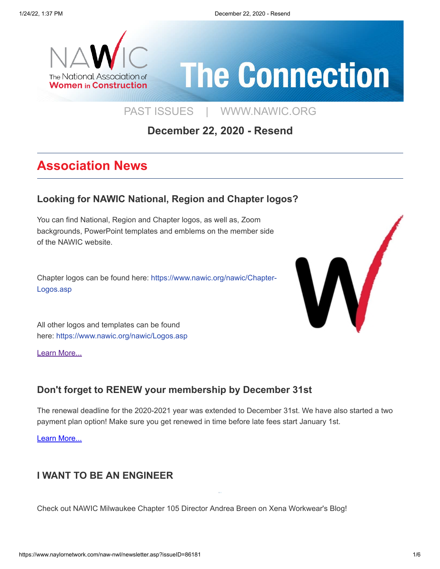

# **The Connection**

[PAST ISSUES](https://www.naylornetwork.com/naw-nwl/index.asp) | [WWW.NAWIC.ORG](https://www.nawic.org/nawic/default.asp)

### **December 22, 2020 - Resend**

## **Association News**

#### **[Looking for NAWIC National, Region and Chapter logos?](https://www.nawic.org/nawic/Logos.asp)**

You can find National, Region and Chapter logos, as well as, Zoom backgrounds, PowerPoint templates and emblems on the member side of the NAWIC website.

Chapter logos can be found here: https://www.nawic.org/nawic/Chapter-Logos.asp



All other logos and templates can be found here: https://www.nawic.org/nawic/Logos.asp

[Learn More...](https://www.nawic.org/nawic/Logos.asp)

#### **[Don't forget to RENEW your membership by December 31st](https://www.nawic.org/nawic/Renew_Membership.asp)**

The renewal deadline for the 2020-2021 year was extended to December 31st. We have also started a two payment plan option! Make sure you get renewed in time before late fees start January 1st.

[Learn More...](https://www.nawic.org/nawic/Renew_Membership.asp)

#### **[I WANT TO BE AN ENGINEER](https://xenaworkwear.com/blogs/blog/i-want-to-be-an-engineer)**

Check out NAWIC Milwaukee Chapter 105 Director Andrea Breen on Xena Workwear's Blog!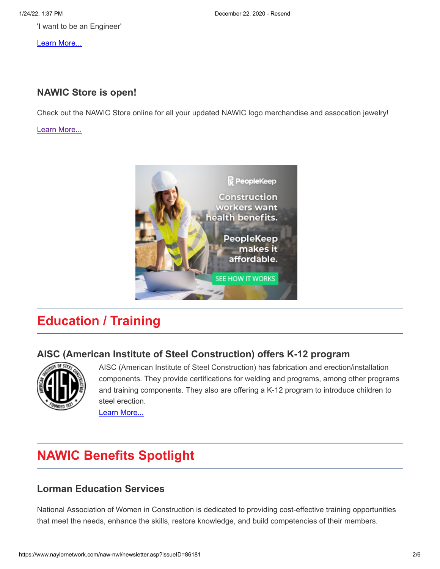'I want to be an Engineer'

[Learn More...](https://xenaworkwear.com/blogs/blog/i-want-to-be-an-engineer)

#### **[NAWIC Store is open!](https://www.nawic.org/nawic/NAWIC_Store.asp)**

Check out the NAWIC Store online for all your updated NAWIC logo merchandise and assocation jewelry!

[Learn More...](https://www.nawic.org/nawic/NAWIC_Store.asp)



## **Education / Training**

#### **[AISC \(American Institute of Steel Construction\) offers K-12 program](https://www.aisc.org/education/k-12/?_zs=KnqnX1&_zl=xG0I7)**



AISC (American Institute of Steel Construction) has fabrication and erection/installation components. They provide certifications for welding and programs, among other programs and training components. They also are offering a K-12 program to introduce children to steel erection.

[Learn More...](https://www.aisc.org/education/k-12/?_zs=KnqnX1&_zl=xG0I7)

## **NAWIC Benefits Spotlight**

#### **[Lorman Education Services](https://www.lorman.com/training/NAWIC)**

National Association of Women in Construction is dedicated to providing cost-effective training opportunities that meet the needs, enhance the skills, restore knowledge, and build competencies of their members.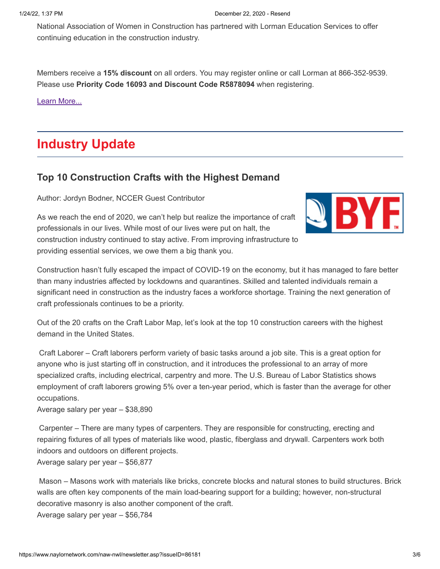National Association of Women in Construction has partnered with Lorman Education Services to offer continuing education in the construction industry.

Members receive a **15% discount** on all orders. You may register online or call Lorman at 866-352-9539. Please use **Priority Code 16093 and Discount Code R5878094** when registering.

[Learn More...](https://www.lorman.com/training/NAWIC)

## **Industry Update**

#### **[Top 10 Construction Crafts with the Highest Demand](https://www.byf.org/news-item/top-10-construction-crafts-with-the-highest-demand/?utm_source=BYF&utm_medium=eblast&utm_campaign=blog)**

Author: Jordyn Bodner, NCCER Guest Contributor

As we reach the end of 2020, we can't help but realize the importance of craft professionals in our lives. While most of our lives were put on halt, the construction industry continued to stay active. From improving infrastructure to providing essential services, we owe them a big thank you.



Construction hasn't fully escaped the impact of COVID-19 on the economy, but it has managed to fare better than many industries affected by lockdowns and quarantines. Skilled and talented individuals remain a significant need in construction as the industry faces a workforce shortage. Training the next generation of craft professionals continues to be a priority.

Out of the 20 crafts on the Craft Labor Map, let's look at the top 10 construction careers with the highest demand in the United States.

Craft Laborer – Craft laborers perform variety of basic tasks around a job site. This is a great option for anyone who is just starting off in construction, and it introduces the professional to an array of more specialized crafts, including electrical, carpentry and more. The U.S. Bureau of Labor Statistics shows employment of craft laborers growing 5% over a ten-year period, which is faster than the average for other occupations.

Average salary per year – \$38,890

Carpenter – There are many types of carpenters. They are responsible for constructing, erecting and repairing fixtures of all types of materials like wood, plastic, fiberglass and drywall. Carpenters work both indoors and outdoors on different projects.

Average salary per year – \$56,877

Mason – Masons work with materials like bricks, concrete blocks and natural stones to build structures. Brick walls are often key components of the main load-bearing support for a building; however, non-structural decorative masonry is also another component of the craft.

Average salary per year – \$56,784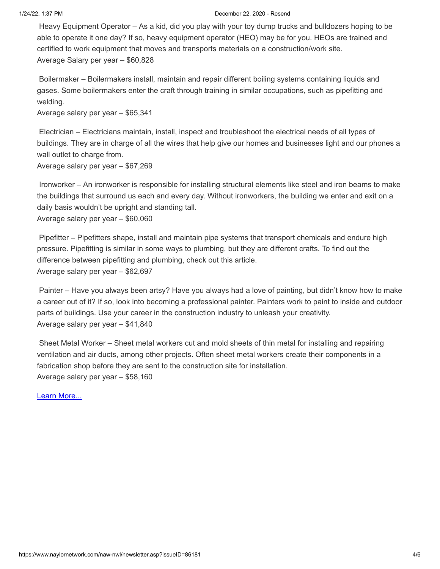#### 1/24/22, 1:37 PM December 22, 2020 - Resend

Heavy Equipment Operator – As a kid, did you play with your toy dump trucks and bulldozers hoping to be able to operate it one day? If so, heavy equipment operator (HEO) may be for you. HEOs are trained and certified to work equipment that moves and transports materials on a construction/work site. Average Salary per year – \$60,828

Boilermaker – Boilermakers install, maintain and repair different boiling systems containing liquids and gases. Some boilermakers enter the craft through training in similar occupations, such as pipefitting and welding.

Average salary per year – \$65,341

Electrician – Electricians maintain, install, inspect and troubleshoot the electrical needs of all types of buildings. They are in charge of all the wires that help give our homes and businesses light and our phones a wall outlet to charge from.

Average salary per year – \$67,269

Ironworker – An ironworker is responsible for installing structural elements like steel and iron beams to make the buildings that surround us each and every day. Without ironworkers, the building we enter and exit on a daily basis wouldn't be upright and standing tall.

Average salary per year – \$60,060

Pipefitter – Pipefitters shape, install and maintain pipe systems that transport chemicals and endure high pressure. Pipefitting is similar in some ways to plumbing, but they are different crafts. To find out the difference between pipefitting and plumbing, check out this article.

Average salary per year – \$62,697

Painter – Have you always been artsy? Have you always had a love of painting, but didn't know how to make a career out of it? If so, look into becoming a professional painter. Painters work to paint to inside and outdoor parts of buildings. Use your career in the construction industry to unleash your creativity. Average salary per year – \$41,840

Sheet Metal Worker – Sheet metal workers cut and mold sheets of thin metal for installing and repairing ventilation and air ducts, among other projects. Often sheet metal workers create their components in a fabrication shop before they are sent to the construction site for installation. Average salary per year – \$58,160

[Learn More...](https://www.byf.org/news-item/top-10-construction-crafts-with-the-highest-demand/?utm_source=BYF&utm_medium=eblast&utm_campaign=blog)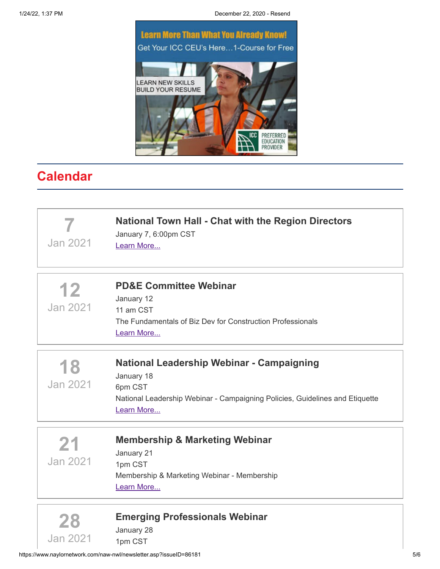1/24/22, 1:37 PM December 22, 2020 - Resend



## **Calendar**

| Jan 2021              | <b>National Town Hall - Chat with the Region Directors</b><br>January 7, 6:00pm CST<br>Learn More                                                                |
|-----------------------|------------------------------------------------------------------------------------------------------------------------------------------------------------------|
| 12<br><b>Jan 2021</b> | <b>PD&amp;E Committee Webinar</b><br>January 12<br>11 am CST<br>The Fundamentals of Biz Dev for Construction Professionals<br>Learn More                         |
| 18<br>Jan 2021        | National Leadership Webinar - Campaigning<br>January 18<br>6pm CST<br>National Leadership Webinar - Campaigning Policies, Guidelines and Etiquette<br>Learn More |
| 21<br>Jan 2021        | <b>Membership &amp; Marketing Webinar</b><br>January 21<br>1pm CST<br>Membership & Marketing Webinar - Membership<br>Learn More                                  |
| 28<br>Jan 2021        | <b>Emerging Professionals Webinar</b><br>January 28<br>1pm CST                                                                                                   |